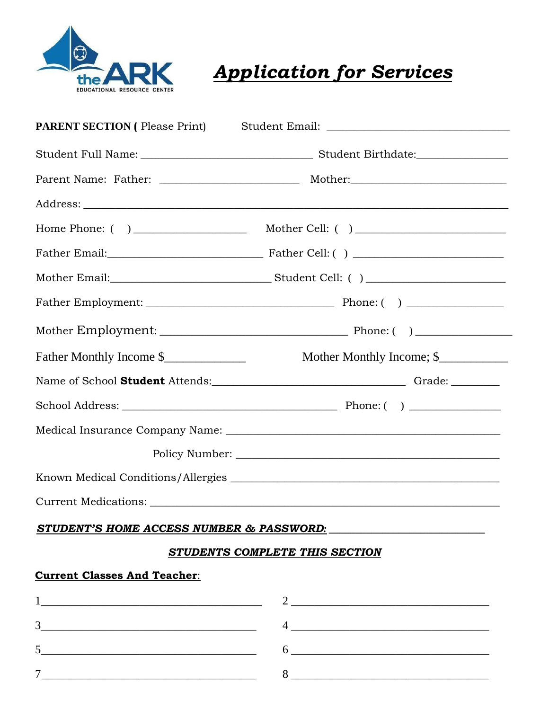

**Application for Services** 

| <b>PARENT SECTION</b> ( Please Print) |                                                                                                                                                                                                                                                                                                                     |
|---------------------------------------|---------------------------------------------------------------------------------------------------------------------------------------------------------------------------------------------------------------------------------------------------------------------------------------------------------------------|
|                                       |                                                                                                                                                                                                                                                                                                                     |
|                                       |                                                                                                                                                                                                                                                                                                                     |
|                                       |                                                                                                                                                                                                                                                                                                                     |
|                                       |                                                                                                                                                                                                                                                                                                                     |
|                                       |                                                                                                                                                                                                                                                                                                                     |
|                                       |                                                                                                                                                                                                                                                                                                                     |
|                                       |                                                                                                                                                                                                                                                                                                                     |
|                                       |                                                                                                                                                                                                                                                                                                                     |
| Father Monthly Income \$              | Mother Monthly Income; \$                                                                                                                                                                                                                                                                                           |
|                                       |                                                                                                                                                                                                                                                                                                                     |
|                                       |                                                                                                                                                                                                                                                                                                                     |
|                                       |                                                                                                                                                                                                                                                                                                                     |
|                                       |                                                                                                                                                                                                                                                                                                                     |
|                                       |                                                                                                                                                                                                                                                                                                                     |
|                                       |                                                                                                                                                                                                                                                                                                                     |
|                                       | STUDENT'S HOME ACCESS NUMBER & PASSWORD: The contract of the contract of the contract of the contract of the c                                                                                                                                                                                                      |
|                                       | STUDENTS COMPLETE THIS SECTION                                                                                                                                                                                                                                                                                      |
| <b>Current Classes And Teacher:</b>   |                                                                                                                                                                                                                                                                                                                     |
|                                       |                                                                                                                                                                                                                                                                                                                     |
| 3                                     | $\frac{4}{2}$ $\frac{1}{2}$ $\frac{1}{2}$ $\frac{1}{2}$ $\frac{1}{2}$ $\frac{1}{2}$ $\frac{1}{2}$ $\frac{1}{2}$ $\frac{1}{2}$ $\frac{1}{2}$ $\frac{1}{2}$ $\frac{1}{2}$ $\frac{1}{2}$ $\frac{1}{2}$ $\frac{1}{2}$ $\frac{1}{2}$ $\frac{1}{2}$ $\frac{1}{2}$ $\frac{1}{2}$ $\frac{1}{2}$ $\frac{1}{2}$ $\frac{1}{2}$ |
| 5                                     | $6 \overline{\phantom{a}}$                                                                                                                                                                                                                                                                                          |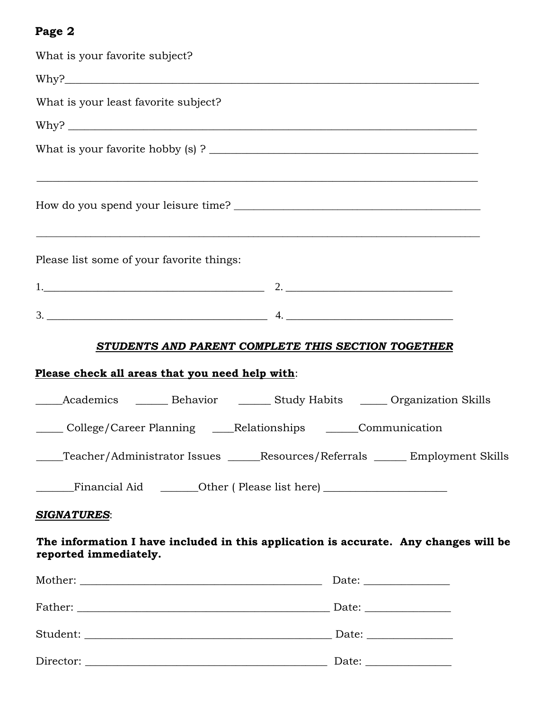## **Page 2**

| What is your favorite subject?                                                                                |  |
|---------------------------------------------------------------------------------------------------------------|--|
|                                                                                                               |  |
| What is your least favorite subject?                                                                          |  |
|                                                                                                               |  |
|                                                                                                               |  |
| <u> 1999 - Jan Barbara, martxa al II-lea (h. 1989).</u>                                                       |  |
| Please list some of your favorite things:                                                                     |  |
|                                                                                                               |  |
|                                                                                                               |  |
| STUDENTS AND PARENT COMPLETE THIS SECTION TOGETHER                                                            |  |
| Please check all areas that you need help with:                                                               |  |
| Academics ________ Behavior ________ Study Habits _______ Organization Skills<br>$\frac{1}{1}$                |  |
| College/Career Planning ____Relationships ______Communication                                                 |  |
| ____Teacher/Administrator Issues ______Resources/Referrals ______ Employment Skills                           |  |
| Financial Aid _________Other (Please list here) ________________________________                              |  |
| <b>SIGNATURES:</b>                                                                                            |  |
| The information I have included in this application is accurate. Any changes will be<br>reported immediately. |  |
|                                                                                                               |  |
|                                                                                                               |  |
|                                                                                                               |  |
|                                                                                                               |  |